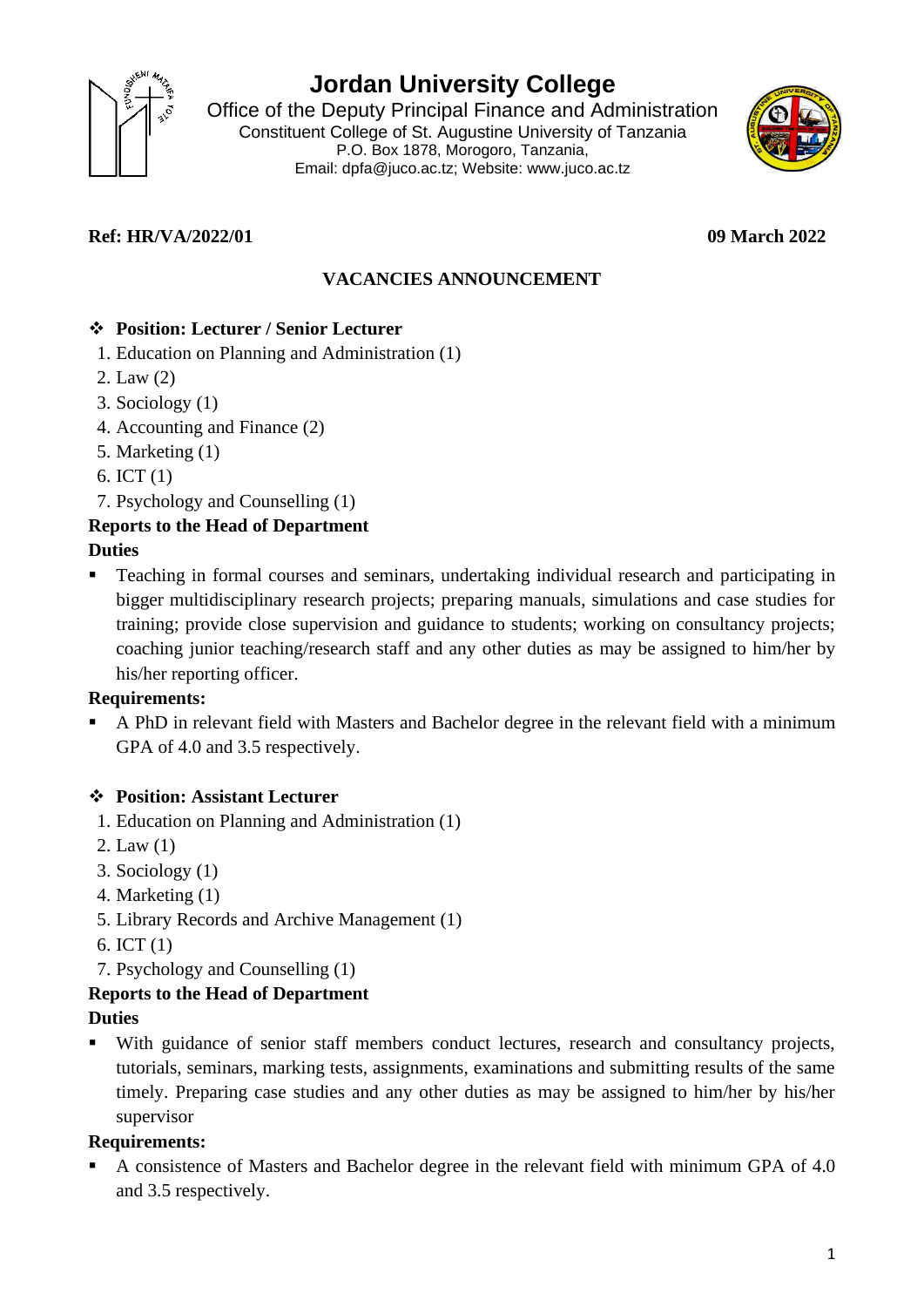

# **Jordan University College**

Office of the Deputy Principal Finance and Administration Constituent College of St. Augustine University of Tanzania P.O. Box 1878, Morogoro, Tanzania, Email: dpfa@juco.ac.tz; Website: [www.juco.ac.tz](http://www.juco.ac.tz/)



# **Ref: HR/VA/2022/01 09 March 2022**

# **VACANCIES ANNOUNCEMENT**

### ❖ **Position: Lecturer / Senior Lecturer**

- 1. Education on Planning and Administration (1)
- 2. Law (2)
- 3. Sociology (1)
- 4. Accounting and Finance (2)
- 5. Marketing (1)
- 6. ICT (1)
- 7. Psychology and Counselling (1)

## **Reports to the Head of Department**

#### **Duties**

Teaching in formal courses and seminars, undertaking individual research and participating in bigger multidisciplinary research projects; preparing manuals, simulations and case studies for training; provide close supervision and guidance to students; working on consultancy projects; coaching junior teaching/research staff and any other duties as may be assigned to him/her by his/her reporting officer.

### **Requirements:**

▪ A PhD in relevant field with Masters and Bachelor degree in the relevant field with a minimum GPA of 4.0 and 3.5 respectively.

### ❖ **Position: Assistant Lecturer**

- 1. Education on Planning and Administration (1)
- 2. Law (1)
- 3. Sociology (1)
- 4. Marketing (1)
- 5. Library Records and Archive Management (1)
- 6. ICT (1)
- 7. Psychology and Counselling (1)

### **Reports to the Head of Department**

#### **Duties**

With guidance of senior staff members conduct lectures, research and consultancy projects, tutorials, seminars, marking tests, assignments, examinations and submitting results of the same timely. Preparing case studies and any other duties as may be assigned to him/her by his/her supervisor

### **Requirements:**

A consistence of Masters and Bachelor degree in the relevant field with minimum GPA of 4.0 and 3.5 respectively.